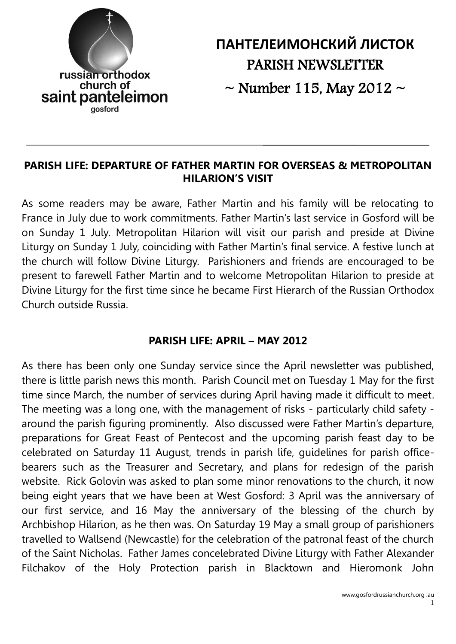

**ПАНТЕЛЕИМОНСКИЙ ЛИСТОК** PARISH NEWSLETTER

 $\sim$  Number 115, May 2012  $\sim$ 

#### **PARISH LIFE: DEPARTURE OF FATHER MARTIN FOR OVERSEAS & METROPOLITAN HILARION'S VISIT**

As some readers may be aware, Father Martin and his family will be relocating to France in July due to work commitments. Father Martin's last service in Gosford will be on Sunday 1 July. Metropolitan Hilarion will visit our parish and preside at Divine Liturgy on Sunday 1 July, coinciding with Father Martin's final service. A festive lunch at the church will follow Divine Liturgy. Parishioners and friends are encouraged to be present to farewell Father Martin and to welcome Metropolitan Hilarion to preside at Divine Liturgy for the first time since he became First Hierarch of the Russian Orthodox Church outside Russia.

## **PARISH LIFE: APRIL – MAY 2012**

As there has been only one Sunday service since the April newsletter was published, there is little parish news this month. Parish Council met on Tuesday 1 May for the first time since March, the number of services during April having made it difficult to meet. The meeting was a long one, with the management of risks - particularly child safety around the parish figuring prominently. Also discussed were Father Martin's departure, preparations for Great Feast of Pentecost and the upcoming parish feast day to be celebrated on Saturday 11 August, trends in parish life, guidelines for parish officebearers such as the Treasurer and Secretary, and plans for redesign of the parish website. Rick Golovin was asked to plan some minor renovations to the church, it now being eight years that we have been at West Gosford: 3 April was the anniversary of our first service, and 16 May the anniversary of the blessing of the church by Archbishop Hilarion, as he then was. On Saturday 19 May a small group of parishioners travelled to Wallsend (Newcastle) for the celebration of the patronal feast of the church of the Saint Nicholas. Father James concelebrated Divine Liturgy with Father Alexander Filchakov of the Holy Protection parish in Blacktown and Hieromonk John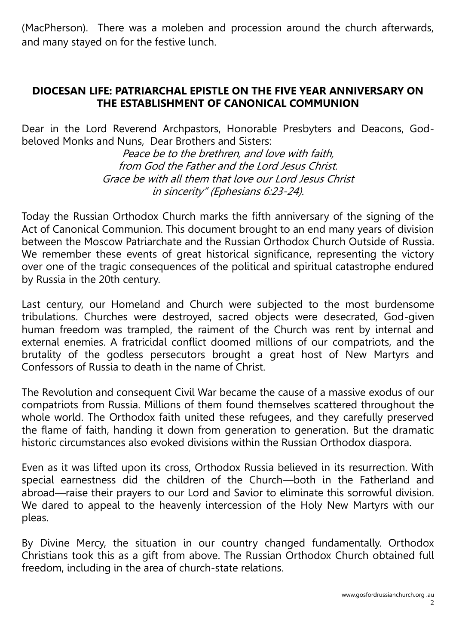(MacPherson). There was a moleben and procession around the church afterwards, and many stayed on for the festive lunch.

#### **DIOCESAN LIFE: PATRIARCHAL EPISTLE ON THE FIVE YEAR ANNIVERSARY ON THE ESTABLISHMENT OF CANONICAL COMMUNION**

Dear in the Lord Reverend Archpastors, Honorable Presbyters and Deacons, Godbeloved Monks and Nuns, Dear Brothers and Sisters:

> Peace be to the brethren, and love with faith, from God the Father and the Lord Jesus Christ. Grace be with all them that love our Lord Jesus Christ in sincerity" (Ephesians 6:23-24).

Today the Russian Orthodox Church marks the fifth anniversary of the signing of the Act of Canonical Communion. This document brought to an end many years of division between the Moscow Patriarchate and the Russian Orthodox Church Outside of Russia. We remember these events of great historical significance, representing the victory over one of the tragic consequences of the political and spiritual catastrophe endured by Russia in the 20th century.

Last century, our Homeland and Church were subjected to the most burdensome tribulations. Churches were destroyed, sacred objects were desecrated, God-given human freedom was trampled, the raiment of the Church was rent by internal and external enemies. A fratricidal conflict doomed millions of our compatriots, and the brutality of the godless persecutors brought a great host of New Martyrs and Confessors of Russia to death in the name of Christ.

The Revolution and consequent Civil War became the cause of a massive exodus of our compatriots from Russia. Millions of them found themselves scattered throughout the whole world. The Orthodox faith united these refugees, and they carefully preserved the flame of faith, handing it down from generation to generation. But the dramatic historic circumstances also evoked divisions within the Russian Orthodox diaspora.

Even as it was lifted upon its cross, Orthodox Russia believed in its resurrection. With special earnestness did the children of the Church—both in the Fatherland and abroad—raise their prayers to our Lord and Savior to eliminate this sorrowful division. We dared to appeal to the heavenly intercession of the Holy New Martyrs with our pleas.

By Divine Mercy, the situation in our country changed fundamentally. Orthodox Christians took this as a gift from above. The Russian Orthodox Church obtained full freedom, including in the area of church-state relations.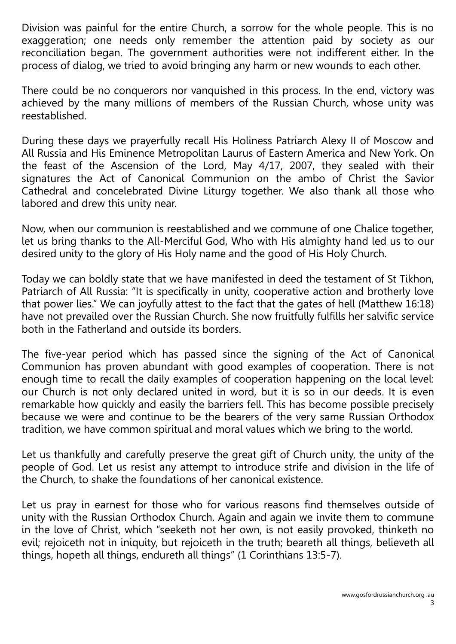Division was painful for the entire Church, a sorrow for the whole people. This is no exaggeration; one needs only remember the attention paid by society as our reconciliation began. The government authorities were not indifferent either. In the process of dialog, we tried to avoid bringing any harm or new wounds to each other.

There could be no conquerors nor vanquished in this process. In the end, victory was achieved by the many millions of members of the Russian Church, whose unity was reestablished.

During these days we prayerfully recall His Holiness Patriarch Alexy II of Moscow and All Russia and His Eminence Metropolitan Laurus of Eastern America and New York. On the feast of the Ascension of the Lord, May 4/17, 2007, they sealed with their signatures the Act of Canonical Communion on the ambo of Christ the Savior Cathedral and concelebrated Divine Liturgy together. We also thank all those who labored and drew this unity near.

Now, when our communion is reestablished and we commune of one Chalice together, let us bring thanks to the All-Merciful God, Who with His almighty hand led us to our desired unity to the glory of His Holy name and the good of His Holy Church.

Today we can boldly state that we have manifested in deed the testament of St Tikhon, Patriarch of All Russia: "It is specifically in unity, cooperative action and brotherly love that power lies." We can joyfully attest to the fact that the gates of hell (Matthew 16:18) have not prevailed over the Russian Church. She now fruitfully fulfills her salvific service both in the Fatherland and outside its borders.

The five-year period which has passed since the signing of the Act of Canonical Communion has proven abundant with good examples of cooperation. There is not enough time to recall the daily examples of cooperation happening on the local level: our Church is not only declared united in word, but it is so in our deeds. It is even remarkable how quickly and easily the barriers fell. This has become possible precisely because we were and continue to be the bearers of the very same Russian Orthodox tradition, we have common spiritual and moral values which we bring to the world.

Let us thankfully and carefully preserve the great gift of Church unity, the unity of the people of God. Let us resist any attempt to introduce strife and division in the life of the Church, to shake the foundations of her canonical existence.

Let us pray in earnest for those who for various reasons find themselves outside of unity with the Russian Orthodox Church. Again and again we invite them to commune in the love of Christ, which "seeketh not her own, is not easily provoked, thinketh no evil; rejoiceth not in iniquity, but rejoiceth in the truth; beareth all things, believeth all things, hopeth all things, endureth all things" (1 Corinthians 13:5-7).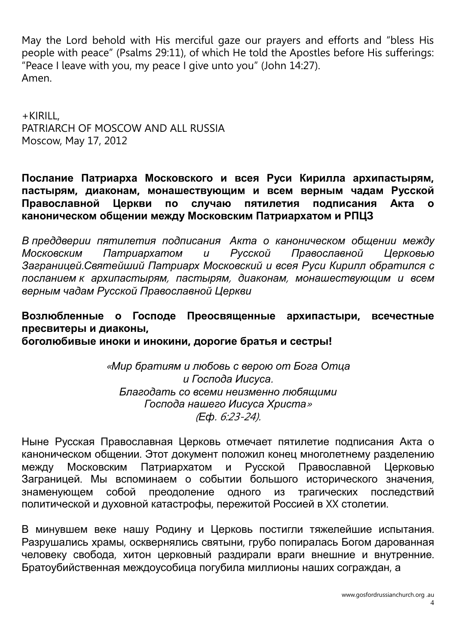May the Lord behold with His merciful gaze our prayers and efforts and "bless His people with peace" (Psalms 29:11), of which He told the Apostles before His sufferings: "Peace I leave with you, my peace I give unto you" (John 14:27). Amen.

+KIRILL, PATRIARCH OF MOSCOW AND ALL RUSSIA Moscow, May 17, 2012

**Послание Патриарха Московского и всея Руси Кирилла архипастырям, пастырям, диаконам, монашествующим и всем верным чадам Русской Православной Церкви по случаю пятилетия подписания Акта о каноническом общении между Московским Патриархатом и РПЦЗ**

*В преддверии пятилетия подписания Акта о каноническом общении между Московским Патриархатом и Русской Православной Церковью Заграницей*.*Святейший Патриарх Московский и всея Руси Кирилл обратился с посланием к архипастырям*, *пастырям*, *диаконам*, *монашествующим и всем верным чадам Русской Православной Церкви*

**Возлюбленные о Господе Преосвященные архипастыри, всечестные пресвитеры и диаконы,** 

**боголюбивые иноки и инокини, дорогие братья и сестры!**

«*Мир братиям и любовь с верою от Бога Отца и Господа Иисуса*. *Благодать со всеми неизменно любящими Господа нашего Иисуса Христа*» (*Еф*. 6:23-24).

Ныне Русская Православная Церковь отмечает пятилетие подписания Акта о каноническом общении. Этот документ положил конец многолетнему разделению между Московским Патриархатом и Русской Православной Церковью Заграницей. Мы вспоминаем о событии большого исторического значения, знаменующем собой преодоление одного из трагических последствий политической и духовной катастрофы, пережитой Россией в XX столетии.

В минувшем веке нашу Родину и Церковь постигли тяжелейшие испытания. Разрушались храмы, осквернялись святыни, грубо попиралась Богом дарованная человеку свобода, хитон церковный раздирали враги внешние и внутренние. Братоубийственная междоусобица погубила миллионы наших сограждан, а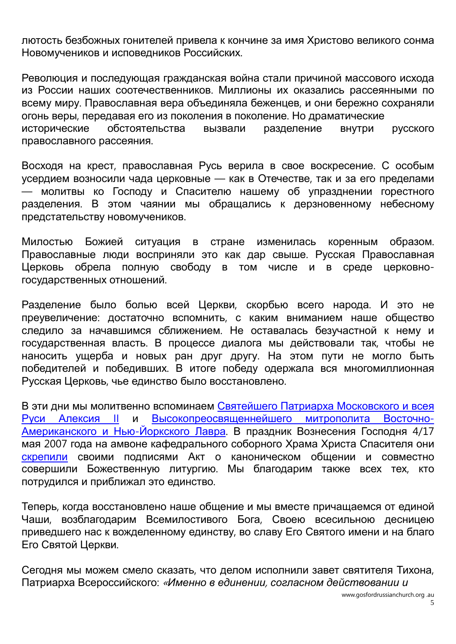лютость безбожных гонителей привела к кончине за имя Христово великого сонма Новомучеников и исповедников Российских.

Революция и последующая гражданская война стали причиной массового исхода из России наших соотечественников. Миллионы их оказались рассеянными по всему миру. Православная вера объединяла беженцев, и они бережно сохраняли огонь веры, передавая его из поколения в поколение. Но драматические исторические обстоятельства вызвали разделение внутри русского православного рассеяния.

Восходя на крест, православная Русь верила в свое воскресение. С особым усердием возносили чада церковные — как в Отечестве, так и за его пределами — молитвы ко Господу и Спасителю нашему об упразднении горестного разделения. В этом чаянии мы обращались к дерзновенному небесному предстательству новомучеников.

Милостью Божией ситуация в стране изменилась коренным образом. Православные люди восприняли это как дар свыше. Русская Православная Церковь обрела полную свободу в том числе и в среде церковногосударственных отношений.

Разделение было болью всей Церкви, скорбью всего народа. И это не преувеличение: достаточно вспомнить, с каким вниманием наше общество следило за начавшимся сближением. Не оставалась безучастной к нему и государственная власть. В процессе диалога мы действовали так, чтобы не наносить ущерба и новых ран друг другу. На этом пути не могло быть победителей и победивших. В итоге победу одержала вся многомиллионная Русская Церковь, чье единство было восстановлено.

В эти дни мы молитвенно вспоминаем Святейшего Патриарха [Московского](http://www.patriarchia.ru/db/text/54129.html) и всея Руси [Алексия](http://www.patriarchia.ru/db/text/54129.html) II и [Высокопреосвященнейшего](http://www.patriarchia.ru/db/text/56253.html) митрополита Восточно-[Американского](http://www.patriarchia.ru/db/text/56253.html) и Нью-Йоркского Лавра. В праздник Вознесения Господня 4/17 мая 2007 года на амвоне кафедрального соборного Храма Христа Спасителя они [скрепили](http://www.patriarchia.ru/db/text/242888.html) своими подписями Акт о каноническом общении и совместно совершили Божественную литургию. Мы благодарим также всех тех, кто потрудился и приближал это единство.

Теперь, когда восстановлено наше общение и мы вместе причащаемся от единой Чаши, возблагодарим Всемилостивого Бога, Своею всесильною десницею приведшего нас к вожделенному единству, во славу Его Святого имени и на благо Его Святой Церкви.

Сегодня мы можем смело сказать, что делом исполнили завет святителя Тихона, Патриарха Всероссийского: «*Именно в единении*, *согласном действовании и*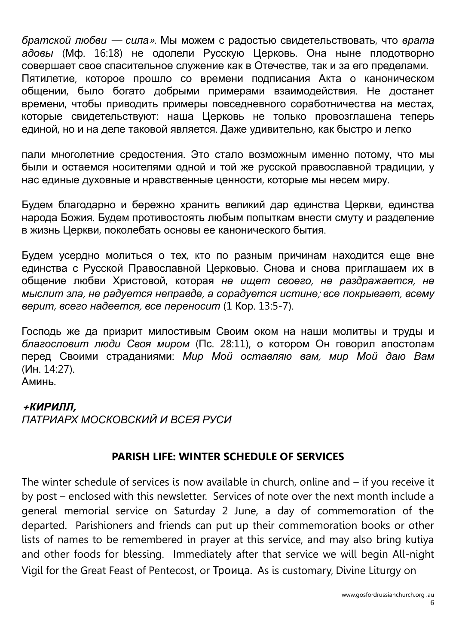*братской любви* — *сила*». Мы можем с радостью свидетельствовать, что *врата адовы* (Мф. 16:18) не одолели Русскую Церковь. Она ныне плодотворно совершает свое спасительное служение как в Отечестве, так и за его пределами. Пятилетие, которое прошло со времени подписания Акта о каноническом общении, было богато добрыми примерами взаимодействия. Не достанет времени, чтобы приводить примеры повседневного соработничества на местах, которые свидетельствуют: наша Церковь не только провозглашена теперь единой, но и на деле таковой является. Даже удивительно, как быстро и легко

пали многолетние средостения. Это стало возможным именно потому, что мы были и остаемся носителями одной и той же русской православной традиции, у нас единые духовные и нравственные ценности, которые мы несем миру.

Будем благодарно и бережно хранить великий дар единства Церкви, единства народа Божия. Будем противостоять любым попыткам внести смуту и разделение в жизнь Церкви, поколебать основы ее канонического бытия.

Будем усердно молиться о тех, кто по разным причинам находится еще вне единства с Русской Православной Церковью. Снова и снова приглашаем их в общение любви Христовой, которая *не ищет своего*, *не раздражается*, *не мыслит зла*, *не радуется неправде*, *а сорадуется истине*; *все покрывает*, *всему верит*, *всего надеется*, *все переносит* (1 Кор. 13:5-7).

Господь же да призрит милостивым Своим оком на наши молитвы и труды и *благословит люди Своя миром* (Пс. 28:11), о котором Он говорил апостолам перед Своими страданиями: *Мир Мой оставляю вам*, *мир Мой даю Вам* (Ин. 14:27).

Аминь.

## **<sup>+</sup>***КИРИЛЛ***,**

*ПАТРИАРХ МОСКОВСКИЙ И ВСЕЯ РУСИ*

## **PARISH LIFE: WINTER SCHEDULE OF SERVICES**

The winter schedule of services is now available in church, online and – if you receive it by post – enclosed with this newsletter. Services of note over the next month include a general memorial service on Saturday 2 June, a day of commemoration of the departed. Parishioners and friends can put up their commemoration books or other lists of names to be remembered in prayer at this service, and may also bring kutiya and other foods for blessing. Immediately after that service we will begin All-night Vigil for the Great Feast of Pentecost, or Троица. As is customary, Divine Liturgy on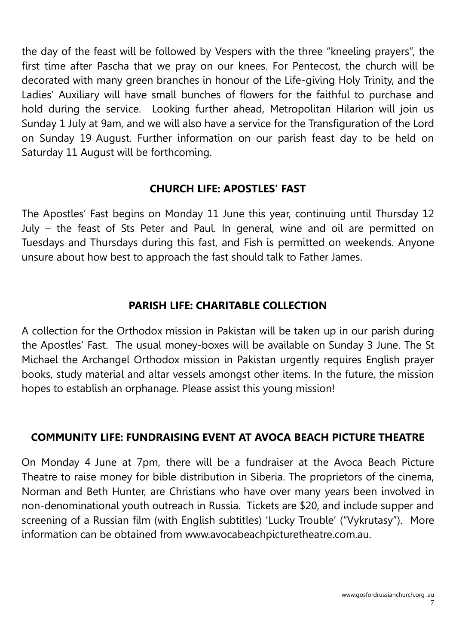the day of the feast will be followed by Vespers with the three "kneeling prayers", the first time after Pascha that we pray on our knees. For Pentecost, the church will be decorated with many green branches in honour of the Life-giving Holy Trinity, and the Ladies' Auxiliary will have small bunches of flowers for the faithful to purchase and hold during the service. Looking further ahead, Metropolitan Hilarion will join us Sunday 1 July at 9am, and we will also have a service for the Transfiguration of the Lord on Sunday 19 August. Further information on our parish feast day to be held on Saturday 11 August will be forthcoming.

# **CHURCH LIFE: APOSTLES' FAST**

The Apostles' Fast begins on Monday 11 June this year, continuing until Thursday 12 July – the feast of Sts Peter and Paul. In general, wine and oil are permitted on Tuesdays and Thursdays during this fast, and Fish is permitted on weekends. Anyone unsure about how best to approach the fast should talk to Father James.

# **PARISH LIFE: CHARITABLE COLLECTION**

A collection for the Orthodox mission in Pakistan will be taken up in our parish during the Apostles' Fast. The usual money-boxes will be available on Sunday 3 June. The St Michael the Archangel Orthodox mission in Pakistan urgently requires English prayer books, study material and altar vessels amongst other items. In the future, the mission hopes to establish an orphanage. Please assist this young mission!

## **COMMUNITY LIFE: FUNDRAISING EVENT AT AVOCA BEACH PICTURE THEATRE**

On Monday 4 June at 7pm, there will be a fundraiser at the Avoca Beach Picture Theatre to raise money for bible distribution in Siberia. The proprietors of the cinema, Norman and Beth Hunter, are Christians who have over many years been involved in non-denominational youth outreach in Russia. Tickets are \$20, and include supper and screening of a Russian film (with English subtitles) 'Lucky Trouble' ("Vykrutasy"). More information can be obtained from www.avocabeachpicturetheatre.com.au.